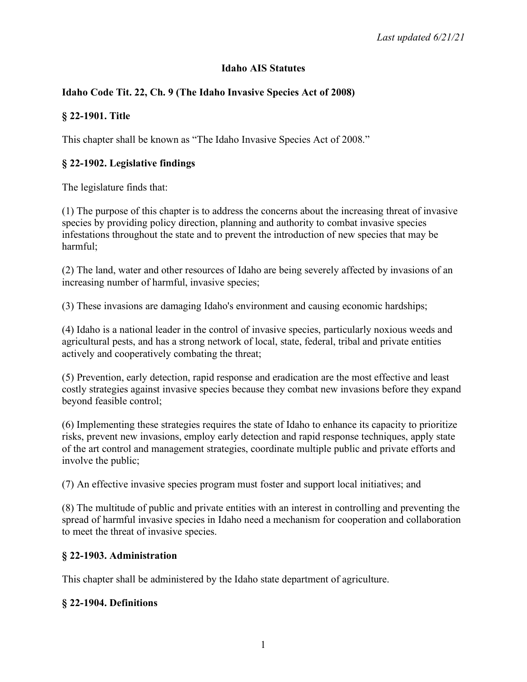## **Idaho AIS Statutes**

## **Idaho Code Tit. 22, Ch. 9 (The Idaho Invasive Species Act of 2008)**

## **§ 22-1901. Title**

This chapter shall be known as "The Idaho Invasive Species Act of 2008."

## **§ 22-1902. Legislative findings**

The legislature finds that:

(1) The purpose of this chapter is to address the concerns about the increasing threat of invasive species by providing policy direction, planning and authority to combat invasive species infestations throughout the state and to prevent the introduction of new species that may be harmful;

(2) The land, water and other resources of Idaho are being severely affected by invasions of an increasing number of harmful, invasive species;

(3) These invasions are damaging Idaho's environment and causing economic hardships;

(4) Idaho is a national leader in the control of invasive species, particularly noxious weeds and agricultural pests, and has a strong network of local, state, federal, tribal and private entities actively and cooperatively combating the threat;

(5) Prevention, early detection, rapid response and eradication are the most effective and least costly strategies against invasive species because they combat new invasions before they expand beyond feasible control;

(6) Implementing these strategies requires the state of Idaho to enhance its capacity to prioritize risks, prevent new invasions, employ early detection and rapid response techniques, apply state of the art control and management strategies, coordinate multiple public and private efforts and involve the public;

(7) An effective invasive species program must foster and support local initiatives; and

(8) The multitude of public and private entities with an interest in controlling and preventing the spread of harmful invasive species in Idaho need a mechanism for cooperation and collaboration to meet the threat of invasive species.

#### **§ 22-1903. Administration**

This chapter shall be administered by the Idaho state department of agriculture.

#### **§ 22-1904. Definitions**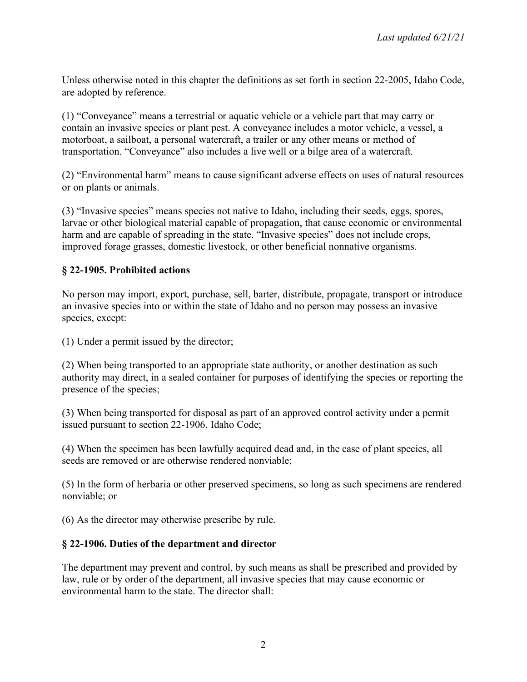Unless otherwise noted in this chapter the definitions as set forth in section 22-2005, Idaho Code, are adopted by reference.

(1) "Conveyance" means a terrestrial or aquatic vehicle or a vehicle part that may carry or contain an invasive species or plant pest. A conveyance includes a motor vehicle, a vessel, a motorboat, a sailboat, a personal watercraft, a trailer or any other means or method of transportation. "Conveyance" also includes a live well or a bilge area of a watercraft.

(2) "Environmental harm" means to cause significant adverse effects on uses of natural resources or on plants or animals.

(3) "Invasive species" means species not native to Idaho, including their seeds, eggs, spores, larvae or other biological material capable of propagation, that cause economic or environmental harm and are capable of spreading in the state. "Invasive species" does not include crops, improved forage grasses, domestic livestock, or other beneficial nonnative organisms.

## **§ 22-1905. Prohibited actions**

No person may import, export, purchase, sell, barter, distribute, propagate, transport or introduce an invasive species into or within the state of Idaho and no person may possess an invasive species, except:

(1) Under a permit issued by the director;

(2) When being transported to an appropriate state authority, or another destination as such authority may direct, in a sealed container for purposes of identifying the species or reporting the presence of the species;

(3) When being transported for disposal as part of an approved control activity under a permit issued pursuant to section 22-1906, Idaho Code;

(4) When the specimen has been lawfully acquired dead and, in the case of plant species, all seeds are removed or are otherwise rendered nonviable;

(5) In the form of herbaria or other preserved specimens, so long as such specimens are rendered nonviable; or

(6) As the director may otherwise prescribe by rule.

## **§ 22-1906. Duties of the department and director**

The department may prevent and control, by such means as shall be prescribed and provided by law, rule or by order of the department, all invasive species that may cause economic or environmental harm to the state. The director shall: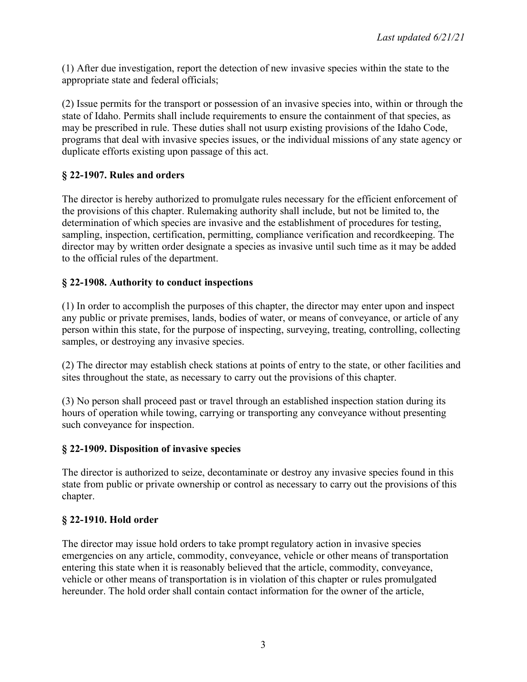(1) After due investigation, report the detection of new invasive species within the state to the appropriate state and federal officials;

(2) Issue permits for the transport or possession of an invasive species into, within or through the state of Idaho. Permits shall include requirements to ensure the containment of that species, as may be prescribed in rule. These duties shall not usurp existing provisions of the Idaho Code, programs that deal with invasive species issues, or the individual missions of any state agency or duplicate efforts existing upon passage of this act.

## **§ 22-1907. Rules and orders**

The director is hereby authorized to promulgate rules necessary for the efficient enforcement of the provisions of this chapter. Rulemaking authority shall include, but not be limited to, the determination of which species are invasive and the establishment of procedures for testing, sampling, inspection, certification, permitting, compliance verification and recordkeeping. The director may by written order designate a species as invasive until such time as it may be added to the official rules of the department.

## **§ 22-1908. Authority to conduct inspections**

(1) In order to accomplish the purposes of this chapter, the director may enter upon and inspect any public or private premises, lands, bodies of water, or means of conveyance, or article of any person within this state, for the purpose of inspecting, surveying, treating, controlling, collecting samples, or destroying any invasive species.

(2) The director may establish check stations at points of entry to the state, or other facilities and sites throughout the state, as necessary to carry out the provisions of this chapter.

(3) No person shall proceed past or travel through an established inspection station during its hours of operation while towing, carrying or transporting any conveyance without presenting such conveyance for inspection.

#### **§ 22-1909. Disposition of invasive species**

The director is authorized to seize, decontaminate or destroy any invasive species found in this state from public or private ownership or control as necessary to carry out the provisions of this chapter.

#### **§ 22-1910. Hold order**

The director may issue hold orders to take prompt regulatory action in invasive species emergencies on any article, commodity, conveyance, vehicle or other means of transportation entering this state when it is reasonably believed that the article, commodity, conveyance, vehicle or other means of transportation is in violation of this chapter or rules promulgated hereunder. The hold order shall contain contact information for the owner of the article,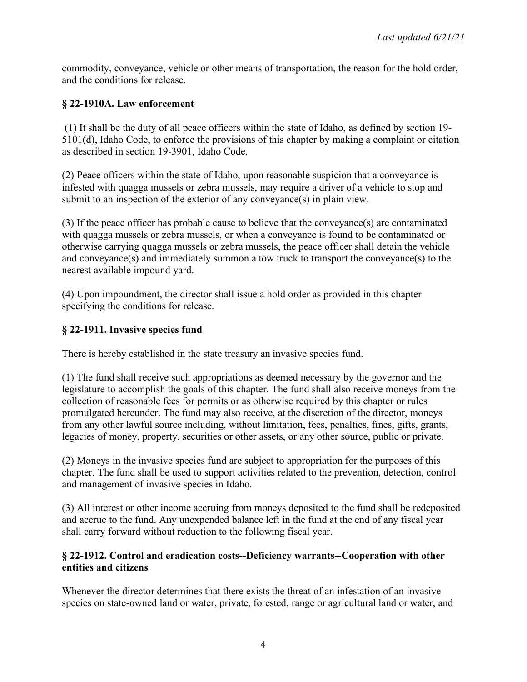commodity, conveyance, vehicle or other means of transportation, the reason for the hold order, and the conditions for release.

## **§ 22-1910A. Law enforcement**

(1) It shall be the duty of all peace officers within the state of Idaho, as defined by section 19- 5101(d), Idaho Code, to enforce the provisions of this chapter by making a complaint or citation as described in section 19-3901, Idaho Code.

(2) Peace officers within the state of Idaho, upon reasonable suspicion that a conveyance is infested with quagga mussels or zebra mussels, may require a driver of a vehicle to stop and submit to an inspection of the exterior of any conveyance(s) in plain view.

(3) If the peace officer has probable cause to believe that the conveyance(s) are contaminated with quagga mussels or zebra mussels, or when a conveyance is found to be contaminated or otherwise carrying quagga mussels or zebra mussels, the peace officer shall detain the vehicle and conveyance(s) and immediately summon a tow truck to transport the conveyance(s) to the nearest available impound yard.

(4) Upon impoundment, the director shall issue a hold order as provided in this chapter specifying the conditions for release.

## **§ 22-1911. Invasive species fund**

There is hereby established in the state treasury an invasive species fund.

(1) The fund shall receive such appropriations as deemed necessary by the governor and the legislature to accomplish the goals of this chapter. The fund shall also receive moneys from the collection of reasonable fees for permits or as otherwise required by this chapter or rules promulgated hereunder. The fund may also receive, at the discretion of the director, moneys from any other lawful source including, without limitation, fees, penalties, fines, gifts, grants, legacies of money, property, securities or other assets, or any other source, public or private.

(2) Moneys in the invasive species fund are subject to appropriation for the purposes of this chapter. The fund shall be used to support activities related to the prevention, detection, control and management of invasive species in Idaho.

(3) All interest or other income accruing from moneys deposited to the fund shall be redeposited and accrue to the fund. Any unexpended balance left in the fund at the end of any fiscal year shall carry forward without reduction to the following fiscal year.

## **§ 22-1912. Control and eradication costs--Deficiency warrants--Cooperation with other entities and citizens**

Whenever the director determines that there exists the threat of an infestation of an invasive species on state-owned land or water, private, forested, range or agricultural land or water, and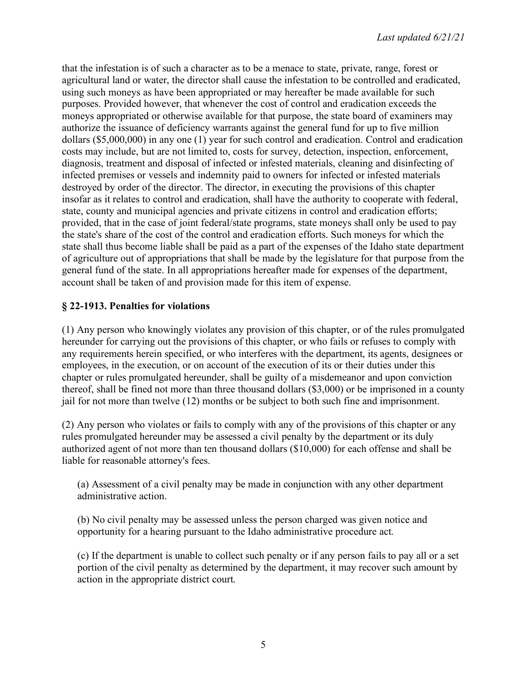that the infestation is of such a character as to be a menace to state, private, range, forest or agricultural land or water, the director shall cause the infestation to be controlled and eradicated, using such moneys as have been appropriated or may hereafter be made available for such purposes. Provided however, that whenever the cost of control and eradication exceeds the moneys appropriated or otherwise available for that purpose, the state board of examiners may authorize the issuance of deficiency warrants against the general fund for up to five million dollars (\$5,000,000) in any one (1) year for such control and eradication. Control and eradication costs may include, but are not limited to, costs for survey, detection, inspection, enforcement, diagnosis, treatment and disposal of infected or infested materials, cleaning and disinfecting of infected premises or vessels and indemnity paid to owners for infected or infested materials destroyed by order of the director. The director, in executing the provisions of this chapter insofar as it relates to control and eradication, shall have the authority to cooperate with federal, state, county and municipal agencies and private citizens in control and eradication efforts; provided, that in the case of joint federal/state programs, state moneys shall only be used to pay the state's share of the cost of the control and eradication efforts. Such moneys for which the state shall thus become liable shall be paid as a part of the expenses of the Idaho state department of agriculture out of appropriations that shall be made by the legislature for that purpose from the general fund of the state. In all appropriations hereafter made for expenses of the department, account shall be taken of and provision made for this item of expense.

# **§ 22-1913. Penalties for violations**

(1) Any person who knowingly violates any provision of this chapter, or of the rules promulgated hereunder for carrying out the provisions of this chapter, or who fails or refuses to comply with any requirements herein specified, or who interferes with the department, its agents, designees or employees, in the execution, or on account of the execution of its or their duties under this chapter or rules promulgated hereunder, shall be guilty of a misdemeanor and upon conviction thereof, shall be fined not more than three thousand dollars (\$3,000) or be imprisoned in a county jail for not more than twelve (12) months or be subject to both such fine and imprisonment.

(2) Any person who violates or fails to comply with any of the provisions of this chapter or any rules promulgated hereunder may be assessed a civil penalty by the department or its duly authorized agent of not more than ten thousand dollars (\$10,000) for each offense and shall be liable for reasonable attorney's fees.

(a) Assessment of a civil penalty may be made in conjunction with any other department administrative action.

(b) No civil penalty may be assessed unless the person charged was given notice and opportunity for a hearing pursuant to the Idaho administrative procedure act.

(c) If the department is unable to collect such penalty or if any person fails to pay all or a set portion of the civil penalty as determined by the department, it may recover such amount by action in the appropriate district court.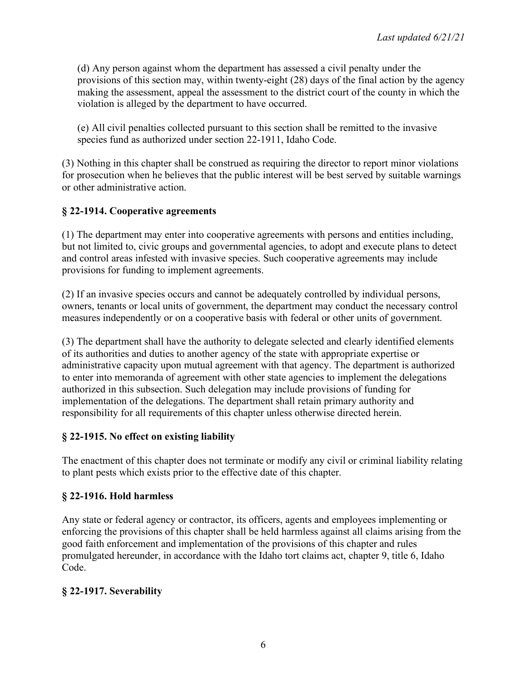(d) Any person against whom the department has assessed a civil penalty under the provisions of this section may, within twenty-eight (28) days of the final action by the agency making the assessment, appeal the assessment to the district court of the county in which the violation is alleged by the department to have occurred.

(e) All civil penalties collected pursuant to this section shall be remitted to the invasive species fund as authorized under section 22-1911, Idaho Code.

(3) Nothing in this chapter shall be construed as requiring the director to report minor violations for prosecution when he believes that the public interest will be best served by suitable warnings or other administrative action.

# **§ 22-1914. Cooperative agreements**

(1) The department may enter into cooperative agreements with persons and entities including, but not limited to, civic groups and governmental agencies, to adopt and execute plans to detect and control areas infested with invasive species. Such cooperative agreements may include provisions for funding to implement agreements.

(2) If an invasive species occurs and cannot be adequately controlled by individual persons, owners, tenants or local units of government, the department may conduct the necessary control measures independently or on a cooperative basis with federal or other units of government.

(3) The department shall have the authority to delegate selected and clearly identified elements of its authorities and duties to another agency of the state with appropriate expertise or administrative capacity upon mutual agreement with that agency. The department is authorized to enter into memoranda of agreement with other state agencies to implement the delegations authorized in this subsection. Such delegation may include provisions of funding for implementation of the delegations. The department shall retain primary authority and responsibility for all requirements of this chapter unless otherwise directed herein.

## **§ 22-1915. No effect on existing liability**

The enactment of this chapter does not terminate or modify any civil or criminal liability relating to plant pests which exists prior to the effective date of this chapter.

# **§ 22-1916. Hold harmless**

Any state or federal agency or contractor, its officers, agents and employees implementing or enforcing the provisions of this chapter shall be held harmless against all claims arising from the good faith enforcement and implementation of the provisions of this chapter and rules promulgated hereunder, in accordance with the Idaho tort claims act, chapter 9, title 6, Idaho Code.

# **§ 22-1917. Severability**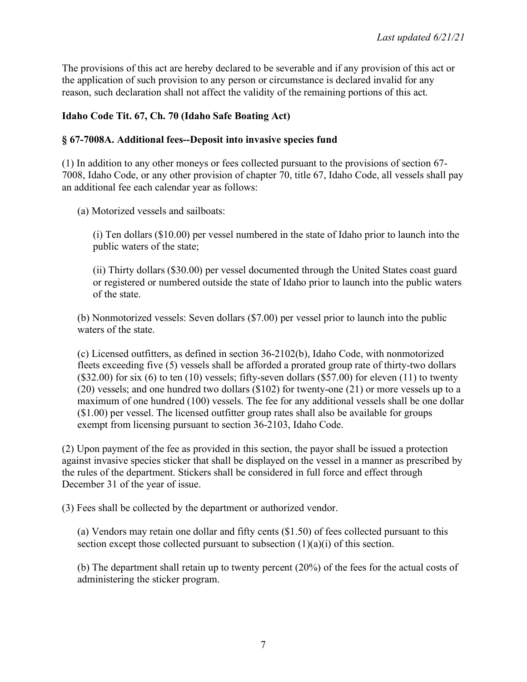The provisions of this act are hereby declared to be severable and if any provision of this act or the application of such provision to any person or circumstance is declared invalid for any reason, such declaration shall not affect the validity of the remaining portions of this act.

## **Idaho Code Tit. 67, Ch. 70 (Idaho Safe Boating Act)**

#### **§ 67-7008A. Additional fees--Deposit into invasive species fund**

(1) In addition to any other moneys or fees collected pursuant to the provisions of section 67- 7008, Idaho Code, or any other provision of chapter 70, title 67, Idaho Code, all vessels shall pay an additional fee each calendar year as follows:

(a) Motorized vessels and sailboats:

(i) Ten dollars (\$10.00) per vessel numbered in the state of Idaho prior to launch into the public waters of the state;

(ii) Thirty dollars (\$30.00) per vessel documented through the United States coast guard or registered or numbered outside the state of Idaho prior to launch into the public waters of the state.

(b) Nonmotorized vessels: Seven dollars (\$7.00) per vessel prior to launch into the public waters of the state.

(c) Licensed outfitters, as defined in section 36-2102(b), Idaho Code, with nonmotorized fleets exceeding five (5) vessels shall be afforded a prorated group rate of thirty-two dollars  $(\$32.00)$  for six  $(6)$  to ten  $(10)$  vessels; fifty-seven dollars  $(\$57.00)$  for eleven  $(11)$  to twenty (20) vessels; and one hundred two dollars (\$102) for twenty-one (21) or more vessels up to a maximum of one hundred (100) vessels. The fee for any additional vessels shall be one dollar (\$1.00) per vessel. The licensed outfitter group rates shall also be available for groups exempt from licensing pursuant to section 36-2103, Idaho Code.

(2) Upon payment of the fee as provided in this section, the payor shall be issued a protection against invasive species sticker that shall be displayed on the vessel in a manner as prescribed by the rules of the department. Stickers shall be considered in full force and effect through December 31 of the year of issue.

(3) Fees shall be collected by the department or authorized vendor.

(a) Vendors may retain one dollar and fifty cents (\$1.50) of fees collected pursuant to this section except those collected pursuant to subsection  $(1)(a)(i)$  of this section.

(b) The department shall retain up to twenty percent (20%) of the fees for the actual costs of administering the sticker program.